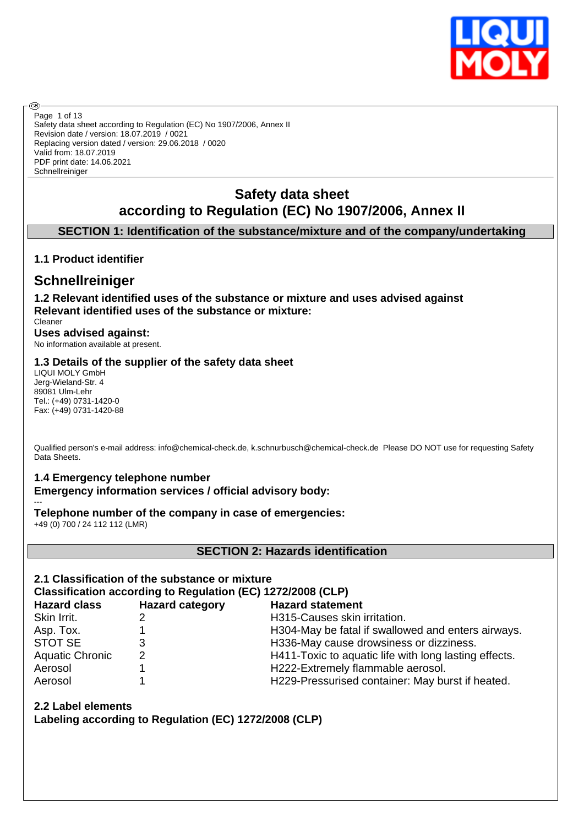

Safety data sheet according to Regulation (EC) No 1907/2006, Annex II Revision date / version: 18.07.2019 / 0021 Replacing version dated / version: 29.06.2018 / 0020 Valid from: 18.07.2019 PDF print date: 14.06.2021 Schnellreiniger Page 1 of 13

# **Safety data sheet according to Regulation (EC) No 1907/2006, Annex II**

### **SECTION 1: Identification of the substance/mixture and of the company/undertaking**

### **1.1 Product identifier**

**®** 

## **Schnellreiniger**

**1.2 Relevant identified uses of the substance or mixture and uses advised against Relevant identified uses of the substance or mixture:**

Cleaner **Uses advised against:**

No information available at present.

### **1.3 Details of the supplier of the safety data sheet**

LIQUI MOLY GmbH Jerg-Wieland-Str. 4 89081 Ulm-Lehr Tel.: (+49) 0731-1420-0 Fax: (+49) 0731-1420-88

Qualified person's e-mail address: info@chemical-check.de, k.schnurbusch@chemical-check.de Please DO NOT use for requesting Safety Data Sheets.

### **1.4 Emergency telephone number**

**Emergency information services / official advisory body:**

--- **Telephone number of the company in case of emergencies:**

+49 (0) 700 / 24 112 112 (LMR)

**SECTION 2: Hazards identification**

### **2.1 Classification of the substance or mixture**

**Classification according to Regulation (EC) 1272/2008 (CLP)**

| <b>Hazard class</b>    | <b>Hazard category</b> | <b>Hazard statement</b>                               |
|------------------------|------------------------|-------------------------------------------------------|
| Skin Irrit.            |                        | H315-Causes skin irritation.                          |
| Asp. Tox.              |                        | H304-May be fatal if swallowed and enters airways.    |
| STOT SE                |                        | H336-May cause drowsiness or dizziness.               |
| <b>Aquatic Chronic</b> | 2                      | H411-Toxic to aquatic life with long lasting effects. |
| Aerosol                |                        | H222-Extremely flammable aerosol.                     |
| Aerosol                |                        | H229-Pressurised container: May burst if heated.      |

### **2.2 Label elements**

**Labeling according to Regulation (EC) 1272/2008 (CLP)**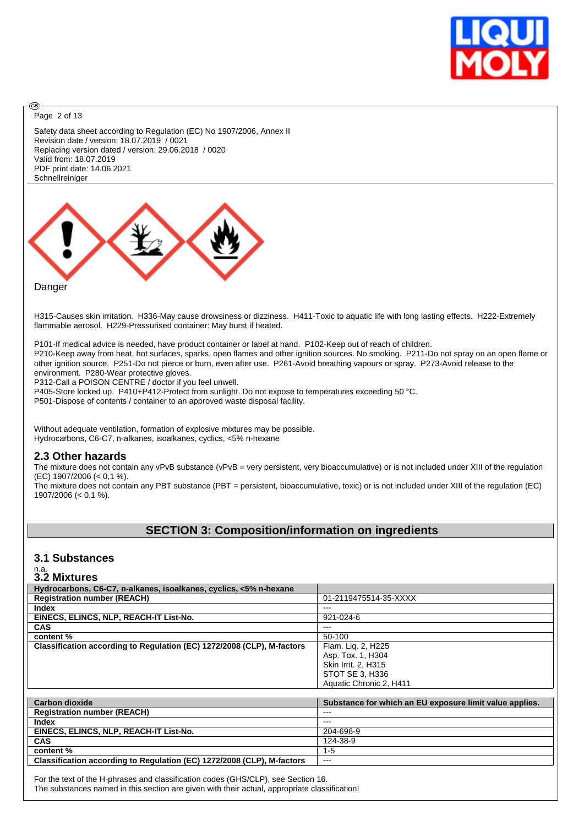

Page 2 of 13

**®** 

Safety data sheet according to Regulation (EC) No 1907/2006, Annex II Revision date / version: 18.07.2019 / 0021 Replacing version dated / version: 29.06.2018 / 0020 Valid from: 18.07.2019 PDF print date: 14.06.2021 Schnellreiniger



H315-Causes skin irritation. H336-May cause drowsiness or dizziness. H411-Toxic to aquatic life with long lasting effects. H222-Extremely flammable aerosol. H229-Pressurised container: May burst if heated.

P101-If medical advice is needed, have product container or label at hand. P102-Keep out of reach of children. P210-Keep away from heat, hot surfaces, sparks, open flames and other ignition sources. No smoking. P211-Do not spray on an open flame or other ignition source. P251-Do not pierce or burn, even after use. P261-Avoid breathing vapours or spray. P273-Avoid release to the environment. P280-Wear protective gloves.

P312-Call a POISON CENTRE / doctor if you feel unwell.

P405-Store locked up. P410+P412-Protect from sunlight. Do not expose to temperatures exceeding 50 °C.

P501-Dispose of contents / container to an approved waste disposal facility.

Without adequate ventilation, formation of explosive mixtures may be possible. Hydrocarbons, C6-C7, n-alkanes, isoalkanes, cyclics, <5% n-hexane

#### **2.3 Other hazards**

The mixture does not contain any vPvB substance (vPvB = very persistent, very bioaccumulative) or is not included under XIII of the regulation (EC) 1907/2006 (< 0,1 %).

The mixture does not contain any PBT substance (PBT = persistent, bioaccumulative, toxic) or is not included under XIII of the regulation (EC) 1907/2006 (< 0,1 %).

### **SECTION 3: Composition/information on ingredients**

#### **3.1 Substances**

# n.a. **3.2 Mixtures**

| Hydrocarbons, C6-C7, n-alkanes, isoalkanes, cyclics, <5% n-hexane      |                                                         |
|------------------------------------------------------------------------|---------------------------------------------------------|
| <b>Registration number (REACH)</b>                                     | 01-2119475514-35-XXXX                                   |
| Index                                                                  | $---$                                                   |
| EINECS, ELINCS, NLP, REACH-IT List-No.                                 | $921 - 024 - 6$                                         |
| <b>CAS</b>                                                             | ---                                                     |
| content %                                                              | 50-100                                                  |
| Classification according to Regulation (EC) 1272/2008 (CLP), M-factors | Flam. Lig. 2, H225                                      |
|                                                                        | Asp. Tox. 1, H304                                       |
|                                                                        | Skin Irrit. 2. H315                                     |
|                                                                        | STOT SE 3. H336                                         |
|                                                                        | Aquatic Chronic 2, H411                                 |
|                                                                        |                                                         |
| <b>Carbon dioxide</b>                                                  | Substance for which an EU exposure limit value applies. |
| <b>Registration number (REACH)</b>                                     | $-- -$                                                  |
| <b>Index</b>                                                           | $---$                                                   |
| EINECS, ELINCS, NLP, REACH-IT List-No.                                 | 204-696-9                                               |
| <b>CAS</b>                                                             | 124-38-9                                                |

| <b>CAS</b>                                                             | 124-38-9 |
|------------------------------------------------------------------------|----------|
| content %                                                              |          |
| Classification according to Regulation (EC) 1272/2008 (CLP), M-factors | $- - -$  |

For the text of the H-phrases and classification codes (GHS/CLP), see Section 16. The substances named in this section are given with their actual, appropriate classification!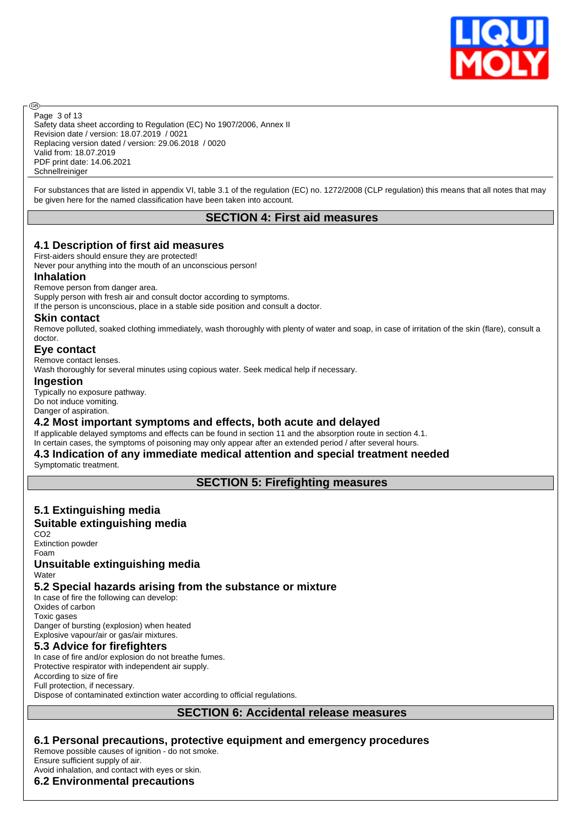

Safety data sheet according to Regulation (EC) No 1907/2006, Annex II Revision date / version: 18.07.2019 / 0021 Replacing version dated / version: 29.06.2018 / 0020 Valid from: 18.07.2019 PDF print date: 14.06.2021 Schnellreiniger Page 3 of 13

For substances that are listed in appendix VI, table 3.1 of the regulation (EC) no. 1272/2008 (CLP regulation) this means that all notes that may be given here for the named classification have been taken into account.

### **SECTION 4: First aid measures**

#### **4.1 Description of first aid measures**

First-aiders should ensure they are protected!

Never pour anything into the mouth of an unconscious person!

#### **Inhalation**

൹

Remove person from danger area.

Supply person with fresh air and consult doctor according to symptoms.

If the person is unconscious, place in a stable side position and consult a doctor.

#### **Skin contact**

Remove polluted, soaked clothing immediately, wash thoroughly with plenty of water and soap, in case of irritation of the skin (flare), consult a doctor.

#### **Eye contact**

Remove contact lenses.

Wash thoroughly for several minutes using copious water. Seek medical help if necessary.

#### **Ingestion**

Typically no exposure pathway. Do not induce vomiting. Danger of aspiration.

#### **4.2 Most important symptoms and effects, both acute and delayed**

If applicable delayed symptoms and effects can be found in section 11 and the absorption route in section 4.1.

### In certain cases, the symptoms of poisoning may only appear after an extended period / after several hours.

# **4.3 Indication of any immediate medical attention and special treatment needed**

Symptomatic treatment.

**SECTION 5: Firefighting measures**

## **5.1 Extinguishing media**

### **Suitable extinguishing media**

CO2 Extinction powder Foam **Unsuitable extinguishing media Water** 

### **5.2 Special hazards arising from the substance or mixture**

In case of fire the following can develop: Oxides of carbon Toxic gases Danger of bursting (explosion) when heated

Explosive vapour/air or gas/air mixtures.

### **5.3 Advice for firefighters**

In case of fire and/or explosion do not breathe fumes. Protective respirator with independent air supply. According to size of fire Full protection, if necessary. Dispose of contaminated extinction water according to official regulations.

### **SECTION 6: Accidental release measures**

### **6.1 Personal precautions, protective equipment and emergency procedures**

Remove possible causes of ignition - do not smoke.

Ensure sufficient supply of air.

Avoid inhalation, and contact with eyes or skin.

### **6.2 Environmental precautions**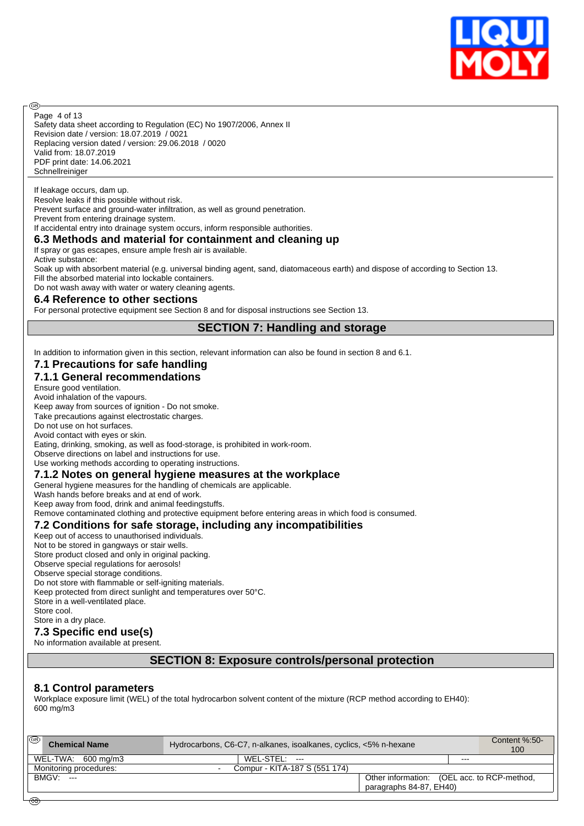

Safety data sheet according to Regulation (EC) No 1907/2006, Annex II Revision date / version: 18.07.2019 / 0021 Replacing version dated / version: 29.06.2018 / 0020 Valid from: 18.07.2019 PDF print date: 14.06.2021 Schnellreiniger Page 4 of 13

If leakage occurs, dam up.

അ

Resolve leaks if this possible without risk.

Prevent surface and ground-water infiltration, as well as ground penetration. Prevent from entering drainage system.

If accidental entry into drainage system occurs, inform responsible authorities.

#### **6.3 Methods and material for containment and cleaning up**

If spray or gas escapes, ensure ample fresh air is available.

Active substance:

Soak up with absorbent material (e.g. universal binding agent, sand, diatomaceous earth) and dispose of according to Section 13. Fill the absorbed material into lockable containers.

Do not wash away with water or watery cleaning agents.

#### **6.4 Reference to other sections**

For personal protective equipment see Section 8 and for disposal instructions see Section 13.

**SECTION 7: Handling and storage**

In addition to information given in this section, relevant information can also be found in section 8 and 6.1.

#### **7.1 Precautions for safe handling**

#### **7.1.1 General recommendations**

Ensure good ventilation.

Avoid inhalation of the vapours.

Keep away from sources of ignition - Do not smoke.

Take precautions against electrostatic charges.

Do not use on hot surfaces. Avoid contact with eyes or skin.

Eating, drinking, smoking, as well as food-storage, is prohibited in work-room.

Observe directions on label and instructions for use.

Use working methods according to operating instructions.

#### **7.1.2 Notes on general hygiene measures at the workplace**

General hygiene measures for the handling of chemicals are applicable.

Wash hands before breaks and at end of work.

Keep away from food, drink and animal feedingstuffs.

Remove contaminated clothing and protective equipment before entering areas in which food is consumed.

#### **7.2 Conditions for safe storage, including any incompatibilities**

Keep out of access to unauthorised individuals. Not to be stored in gangways or stair wells. Store product closed and only in original packing. Observe special regulations for aerosols! Observe special storage conditions. Do not store with flammable or self-igniting materials.

Keep protected from direct sunlight and temperatures over 50°C.

Store in a well-ventilated place.

Store cool.

#### Store in a dry place. **7.3 Specific end use(s)**

No information available at present.

#### **SECTION 8: Exposure controls/personal protection**

#### **8.1 Control parameters**

Workplace exposure limit (WEL) of the total hydrocarbon solvent content of the mixture (RCP method according to EH40): 600 mg/m3

| ෛ<br><b>Chemical Name</b> | Hydrocarbons, C6-C7, n-alkanes, isoalkanes, cyclics, <5% n-hexane | Content %:50-<br>100                        |     |  |  |
|---------------------------|-------------------------------------------------------------------|---------------------------------------------|-----|--|--|
| WEL-TWA: 600 mg/m3        | $WEL-STEL: ---$                                                   |                                             | --- |  |  |
| Monitoring procedures:    | Compur - KITA-187 S (551 174)                                     |                                             |     |  |  |
| $BMGV:---$                |                                                                   | Other information: (OEL acc. to RCP-method, |     |  |  |
|                           |                                                                   | paragraphs 84-87, EH40)                     |     |  |  |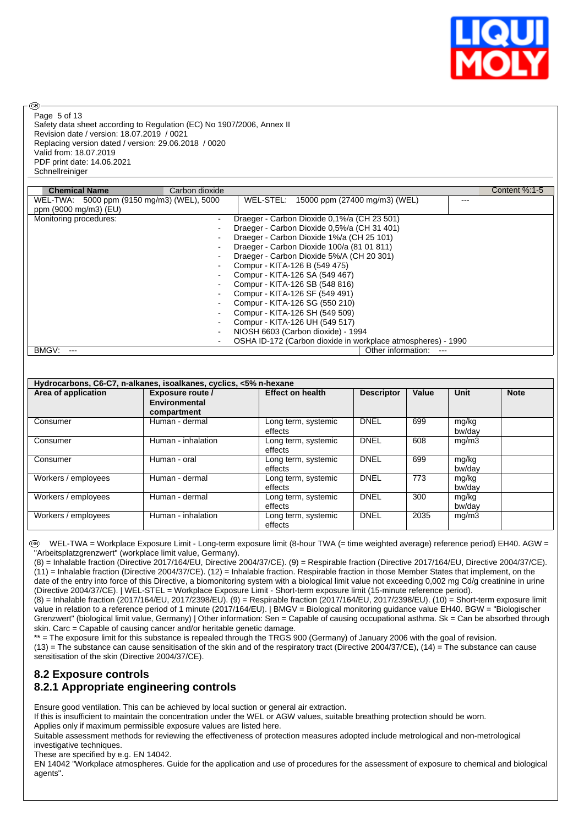

Page 5 of 13

രി

Safety data sheet according to Regulation (EC) No 1907/2006, Annex II Revision date / version: 18.07.2019 / 0021 Replacing version dated / version: 29.06.2018 / 0020 Valid from: 18.07.2019 PDF print date: 14.06.2021 Schnellreiniger

| <b>Chemical Name</b>                       | Carbon dioxide |                                                              | Content %:1-5 |
|--------------------------------------------|----------------|--------------------------------------------------------------|---------------|
| WEL-TWA: 5000 ppm (9150 mg/m3) (WEL), 5000 |                | WEL-STEL: 15000 ppm (27400 mg/m3) (WEL)<br>---               |               |
| ppm (9000 mg/m3) (EU)                      |                |                                                              |               |
| Monitoring procedures:                     | -              | Draeger - Carbon Dioxide 0,1%/a (CH 23 501)                  |               |
|                                            |                | Draeger - Carbon Dioxide 0,5%/a (CH 31 401)                  |               |
|                                            |                | Draeger - Carbon Dioxide 1%/a (CH 25 101)                    |               |
|                                            |                | Draeger - Carbon Dioxide 100/a (81 01 811)                   |               |
|                                            |                | Draeger - Carbon Dioxide 5%/A (CH 20 301)                    |               |
|                                            |                | Compur - KITA-126 B (549 475)                                |               |
|                                            | $\blacksquare$ | Compur - KITA-126 SA (549 467)                               |               |
|                                            | ٠              | Compur - KITA-126 SB (548 816)                               |               |
|                                            |                | Compur - KITA-126 SF (549 491)                               |               |
|                                            |                | Compur - KITA-126 SG (550 210)                               |               |
|                                            |                | Compur - KITA-126 SH (549 509)                               |               |
|                                            |                | Compur - KITA-126 UH (549 517)                               |               |
|                                            |                | NIOSH 6603 (Carbon dioxide) - 1994                           |               |
|                                            | $\blacksquare$ | OSHA ID-172 (Carbon dioxide in workplace atmospheres) - 1990 |               |
| BMGV:                                      |                | Other information:<br>$---$                                  |               |

| Hydrocarbons, C6-C7, n-alkanes, isoalkanes, cyclics, <5% n-hexane |                                                  |                                |                   |       |                 |             |  |  |  |
|-------------------------------------------------------------------|--------------------------------------------------|--------------------------------|-------------------|-------|-----------------|-------------|--|--|--|
| Area of application                                               | Exposure route /<br>Environmental<br>compartment | <b>Effect on health</b>        | <b>Descriptor</b> | Value | Unit            | <b>Note</b> |  |  |  |
| Consumer                                                          | Human - dermal                                   | Long term, systemic<br>effects | <b>DNEL</b>       | 699   | mg/kg<br>bw/dav |             |  |  |  |
| Consumer                                                          | Human - inhalation                               | Long term, systemic<br>effects | <b>DNEL</b>       | 608   | mg/m3           |             |  |  |  |
| Consumer                                                          | Human - oral                                     | Long term, systemic<br>effects | <b>DNEL</b>       | 699   | mg/kg<br>bw/dav |             |  |  |  |
| Workers / employees                                               | Human - dermal                                   | Long term, systemic<br>effects | <b>DNEL</b>       | 773   | mg/kg<br>bw/dav |             |  |  |  |
| Workers / employees                                               | Human - dermal                                   | Long term, systemic<br>effects | <b>DNEL</b>       | 300   | mg/kg<br>bw/day |             |  |  |  |
| Workers / employees                                               | Human - inhalation                               | Long term, systemic<br>effects | <b>DNEL</b>       | 2035  | mg/m3           |             |  |  |  |

 WEL-TWA = Workplace Exposure Limit - Long-term exposure limit (8-hour TWA (= time weighted average) reference period) EH40. AGW = "Arbeitsplatzgrenzwert" (workplace limit value, Germany).

(8) = Inhalable fraction (Directive 2017/164/EU, Directive 2004/37/CE). (9) = Respirable fraction (Directive 2017/164/EU, Directive 2004/37/CE). (11) = Inhalable fraction (Directive 2004/37/CE). (12) = Inhalable fraction. Respirable fraction in those Member States that implement, on the date of the entry into force of this Directive, a biomonitoring system with a biological limit value not exceeding 0,002 mg Cd/g creatinine in urine (Directive 2004/37/CE). | WEL-STEL = Workplace Exposure Limit - Short-term exposure limit (15-minute reference period).

(8) = Inhalable fraction (2017/164/EU, 2017/2398/EU). (9) = Respirable fraction (2017/164/EU, 2017/2398/EU). (10) = Short-term exposure limit value in relation to a reference period of 1 minute (2017/164/EU). | BMGV = Biological monitoring guidance value EH40. BGW = "Biologischer Grenzwert" (biological limit value, Germany) | Other information: Sen = Capable of causing occupational asthma. Sk = Can be absorbed through skin. Carc = Capable of causing cancer and/or heritable genetic damage.

\*\* = The exposure limit for this substance is repealed through the TRGS 900 (Germany) of January 2006 with the goal of revision. (13) = The substance can cause sensitisation of the skin and of the respiratory tract (Directive 2004/37/CE), (14) = The substance can cause sensitisation of the skin (Directive 2004/37/CE).

# **8.2 Exposure controls**

### **8.2.1 Appropriate engineering controls**

Ensure good ventilation. This can be achieved by local suction or general air extraction.

If this is insufficient to maintain the concentration under the WEL or AGW values, suitable breathing protection should be worn.

Applies only if maximum permissible exposure values are listed here.

Suitable assessment methods for reviewing the effectiveness of protection measures adopted include metrological and non-metrological investigative techniques.

These are specified by e.g. EN 14042.

EN 14042 "Workplace atmospheres. Guide for the application and use of procedures for the assessment of exposure to chemical and biological agents".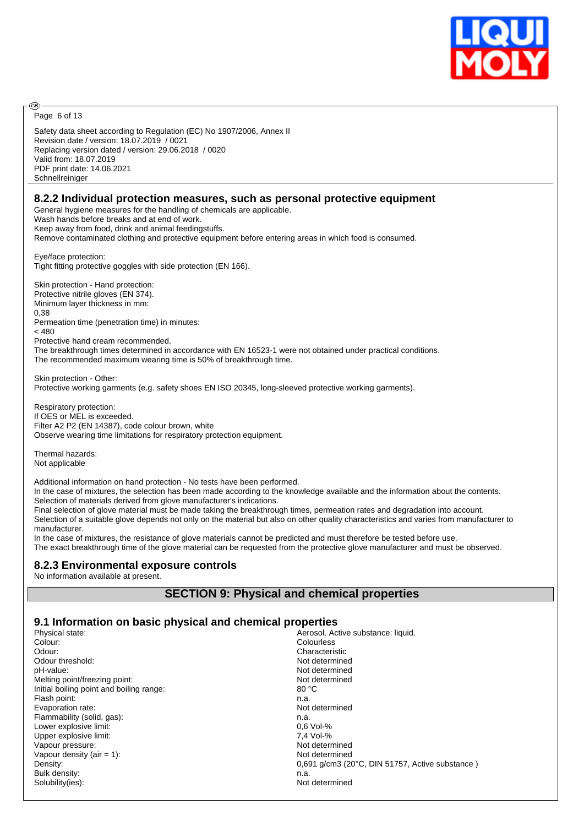

Page 6 of 13

@

Safety data sheet according to Regulation (EC) No 1907/2006, Annex II Revision date / version: 18.07.2019 / 0021 Replacing version dated / version: 29.06.2018 / 0020 Valid from: 18.07.2019 PDF print date: 14.06.2021 **Schnellreiniger** 

#### **8.2.2 Individual protection measures, such as personal protective equipment**

General hygiene measures for the handling of chemicals are applicable.

Wash hands before breaks and at end of work.

Keep away from food, drink and animal feedingstuffs.

Remove contaminated clothing and protective equipment before entering areas in which food is consumed.

Eye/face protection: Tight fitting protective goggles with side protection (EN 166).

Skin protection - Hand protection: Protective nitrile gloves (EN 374). Minimum layer thickness in mm: 0,38 Permeation time (penetration time) in minutes:  $<$  480

Protective hand cream recommended.

The breakthrough times determined in accordance with EN 16523-1 were not obtained under practical conditions. The recommended maximum wearing time is 50% of breakthrough time.

Skin protection - Other:

Protective working garments (e.g. safety shoes EN ISO 20345, long-sleeved protective working garments).

Respiratory protection: If OES or MEL is exceeded. Filter A2 P2 (EN 14387), code colour brown, white Observe wearing time limitations for respiratory protection equipment.

Thermal hazards: Not applicable

Additional information on hand protection - No tests have been performed.

In the case of mixtures, the selection has been made according to the knowledge available and the information about the contents. Selection of materials derived from glove manufacturer's indications.

Final selection of glove material must be made taking the breakthrough times, permeation rates and degradation into account.

Selection of a suitable glove depends not only on the material but also on other quality characteristics and varies from manufacturer to manufacturer.

In the case of mixtures, the resistance of glove materials cannot be predicted and must therefore be tested before use. The exact breakthrough time of the glove material can be requested from the protective glove manufacturer and must be observed.

#### **8.2.3 Environmental exposure controls**

No information available at present.

### **SECTION 9: Physical and chemical properties**

#### **9.1 Information on basic physical and chemical properties**

| Physical state:                          | Aerosol. Active substance: liquid.              |
|------------------------------------------|-------------------------------------------------|
| Colour:                                  | Colourless                                      |
| Odour:                                   | Characteristic                                  |
| Odour threshold:                         | Not determined                                  |
| pH-value:                                | Not determined                                  |
| Melting point/freezing point:            | Not determined                                  |
| Initial boiling point and boiling range: | 80 °C                                           |
| Flash point:                             | n.a.                                            |
| Evaporation rate:                        | Not determined                                  |
| Flammability (solid, gas):               | n.a.                                            |
| Lower explosive limit:                   | $0.6$ Vol-%                                     |
| Upper explosive limit:                   | 7.4 Vol-%                                       |
| Vapour pressure:                         | Not determined                                  |
| Vapour density (air $= 1$ ):             | Not determined                                  |
| Density:                                 | 0,691 g/cm3 (20°C, DIN 51757, Active substance) |
| Bulk density:                            | n.a.                                            |
| Solubility(ies):                         | Not determined                                  |
|                                          |                                                 |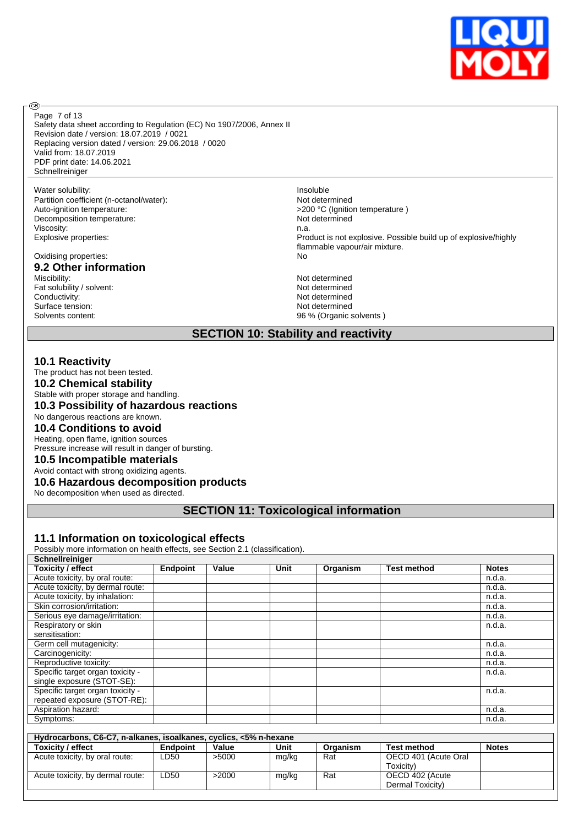

Safety data sheet according to Regulation (EC) No 1907/2006, Annex II Revision date / version: 18.07.2019 / 0021 Replacing version dated / version: 29.06.2018 / 0020 Valid from: 18.07.2019 PDF print date: 14.06.2021 **Schnellreiniger** Page 7 of 13

#### Water solubility: **Insoluble**

**®** 

Partition coefficient (n-octanol/water): Not determined<br>Auto-ignition temperature:  $>200 °C$  (Ignition Decomposition temperature: Viscosity: n.a.

Oxidising properties: No

# **9.2 Other information**

Fat solubility / solvent:<br>Conductivity: Surface tension: Not determined Solvents content: 36 % (Organic solvents )

>200 °C (Ignition temperature )<br>Not determined Explosive properties: Product is not explosive. Possible build up of explosive/highly flammable vapour/air mixture.

> Not determined<br>Not determined Not determined

### **SECTION 10: Stability and reactivity**

#### **10.1 Reactivity**

The product has not been tested.

**10.2 Chemical stability**

Stable with proper storage and handling.

**10.3 Possibility of hazardous reactions**

No dangerous reactions are known.

**10.4 Conditions to avoid**

Heating, open flame, ignition sources Pressure increase will result in danger of bursting.

#### **10.5 Incompatible materials**

Avoid contact with strong oxidizing agents.

**10.6 Hazardous decomposition products**

No decomposition when used as directed.

### **SECTION 11: Toxicological information**

#### **11.1 Information on toxicological effects**

Possibly more information on health effects, see Section 2.1 (classification).

| Schnellreiniger                  |                 |       |      |          |                    |              |
|----------------------------------|-----------------|-------|------|----------|--------------------|--------------|
| <b>Toxicity / effect</b>         | <b>Endpoint</b> | Value | Unit | Organism | <b>Test method</b> | <b>Notes</b> |
| Acute toxicity, by oral route:   |                 |       |      |          |                    | n.d.a.       |
| Acute toxicity, by dermal route: |                 |       |      |          |                    | n.d.a.       |
| Acute toxicity, by inhalation:   |                 |       |      |          |                    | n.d.a.       |
| Skin corrosion/irritation:       |                 |       |      |          |                    | n.d.a.       |
| Serious eye damage/irritation:   |                 |       |      |          |                    | n.d.a.       |
| Respiratory or skin              |                 |       |      |          |                    | n.d.a.       |
| sensitisation:                   |                 |       |      |          |                    |              |
| Germ cell mutagenicity:          |                 |       |      |          |                    | n.d.a.       |
| Carcinogenicity:                 |                 |       |      |          |                    | n.d.a.       |
| Reproductive toxicity:           |                 |       |      |          |                    | n.d.a.       |
| Specific target organ toxicity - |                 |       |      |          |                    | n.d.a.       |
| single exposure (STOT-SE):       |                 |       |      |          |                    |              |
| Specific target organ toxicity - |                 |       |      |          |                    | n.d.a.       |
| repeated exposure (STOT-RE):     |                 |       |      |          |                    |              |
| Aspiration hazard:               |                 |       |      |          |                    | n.d.a.       |
| Symptoms:                        |                 |       |      |          |                    | n.d.a.       |
|                                  |                 |       |      |          |                    |              |

| Hydrocarbons, C6-C7, n-alkanes, isoalkanes, cyclics, <5% n-hexane |                 |       |       |          |                      |              |  |  |
|-------------------------------------------------------------------|-----------------|-------|-------|----------|----------------------|--------------|--|--|
| <b>Toxicity / effect</b>                                          | <b>Endpoint</b> | Value | Unit  | Organism | <b>Test method</b>   | <b>Notes</b> |  |  |
| Acute toxicity, by oral route:                                    | LD50            | >5000 | mg/kg | Rat      | OECD 401 (Acute Oral |              |  |  |
|                                                                   |                 |       |       |          | Toxicity)            |              |  |  |
| Acute toxicity, by dermal route:                                  | ∟D50            | >2000 | mg/kg | Rat      | OECD 402 (Acute      |              |  |  |
|                                                                   |                 |       |       |          | Dermal Toxicity)     |              |  |  |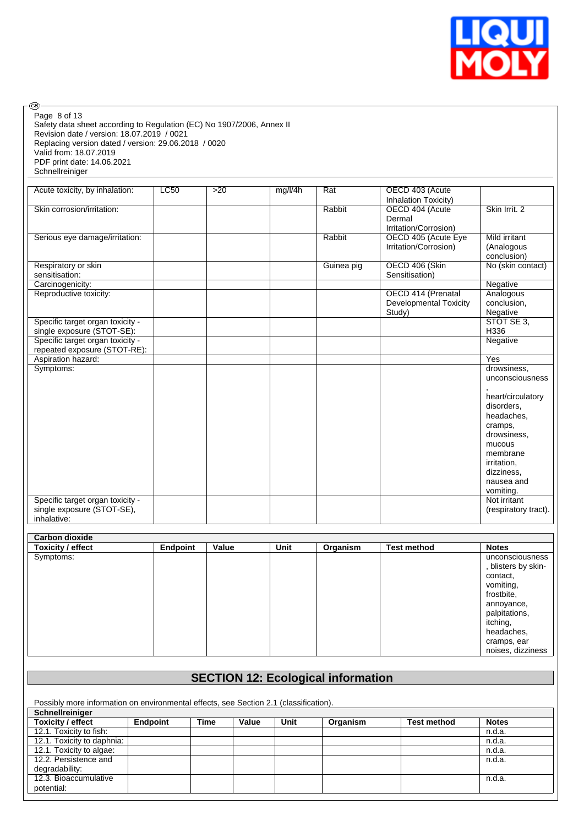

| <b>LC50</b> | $>20$           | mg/l/4h | Rat<br>Rabbit<br>Rabbit<br>Guinea pig | OECD 403 (Acute<br>Inhalation Toxicity)<br>OECD 404 (Acute<br>Dermal<br>Irritation/Corrosion)<br>OECD 405 (Acute Eye<br>Irritation/Corrosion) | Skin Irrit, 2<br>Mild irritant                                                                                                                                                                          |
|-------------|-----------------|---------|---------------------------------------|-----------------------------------------------------------------------------------------------------------------------------------------------|---------------------------------------------------------------------------------------------------------------------------------------------------------------------------------------------------------|
|             |                 |         |                                       |                                                                                                                                               |                                                                                                                                                                                                         |
|             |                 |         |                                       |                                                                                                                                               |                                                                                                                                                                                                         |
|             |                 |         |                                       |                                                                                                                                               | (Analogous<br>conclusion)                                                                                                                                                                               |
|             |                 |         |                                       | OECD 406 (Skin<br>Sensitisation)                                                                                                              | No (skin contact)                                                                                                                                                                                       |
|             |                 |         |                                       |                                                                                                                                               | Negative                                                                                                                                                                                                |
|             |                 |         |                                       | OECD 414 (Prenatal<br><b>Developmental Toxicity</b><br>Study)                                                                                 | Analogous<br>conclusion,<br>Negative                                                                                                                                                                    |
|             |                 |         |                                       |                                                                                                                                               | STOT SE 3,<br>H336                                                                                                                                                                                      |
|             |                 |         |                                       |                                                                                                                                               | Negative                                                                                                                                                                                                |
|             |                 |         |                                       |                                                                                                                                               | Yes                                                                                                                                                                                                     |
|             |                 |         |                                       |                                                                                                                                               | drowsiness.<br>unconsciousness<br>heart/circulatory<br>disorders.<br>headaches.<br>cramps,<br>drowsiness,<br>mucous<br>membrane<br>irritation,<br>dizziness,<br>nausea and<br>vomiting.<br>Not irritant |
|             |                 |         |                                       |                                                                                                                                               | (respiratory tract).                                                                                                                                                                                    |
|             |                 |         |                                       |                                                                                                                                               |                                                                                                                                                                                                         |
|             |                 |         |                                       |                                                                                                                                               |                                                                                                                                                                                                         |
|             |                 |         |                                       |                                                                                                                                               |                                                                                                                                                                                                         |
|             |                 |         |                                       |                                                                                                                                               | <b>Notes</b>                                                                                                                                                                                            |
|             |                 |         |                                       |                                                                                                                                               | unconsciousness<br>, blisters by skin-<br>contact,<br>vomiting,<br>frostbite,<br>annoyance,<br>palpitations,<br>itching,<br>headaches,<br>cramps, ear<br>noises, dizziness                              |
|             | <b>Endpoint</b> | Value   | Unit                                  | Organism                                                                                                                                      | <b>Test method</b>                                                                                                                                                                                      |

# **SECTION 12: Ecological information**

Possibly more information on environmental effects, see Section 2.1 (classification).

| Schnellreiniger            |                 |             |       |      |          |                    |              |
|----------------------------|-----------------|-------------|-------|------|----------|--------------------|--------------|
| <b>Toxicity / effect</b>   | <b>Endpoint</b> | <b>Time</b> | Value | Unit | Organism | <b>Test method</b> | <b>Notes</b> |
| 12.1. Toxicity to fish:    |                 |             |       |      |          |                    | n.d.a.       |
| 12.1. Toxicity to daphnia: |                 |             |       |      |          |                    | n.d.a.       |
| 12.1. Toxicity to algae:   |                 |             |       |      |          |                    | n.d.a.       |
| 12.2. Persistence and      |                 |             |       |      |          |                    | n.d.a.       |
| degradability:             |                 |             |       |      |          |                    |              |
| 12.3. Bioaccumulative      |                 |             |       |      |          |                    | n.d.a.       |
| potential:                 |                 |             |       |      |          |                    |              |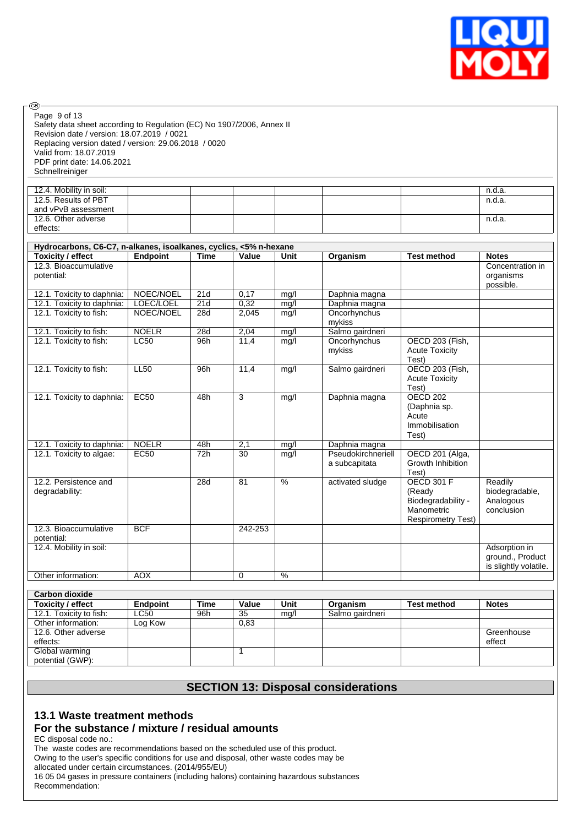

Safety data sheet according to Regulation (EC) No 1907/2006, Annex II Revision date / version: 18.07.2019 / 0021 Replacing version dated / version: 29.06.2018 / 0020 Valid from: 18.07.2019 PDF print date: 14.06.2021 Schnellreiniger Page 9 of 13

◉

| 12.4. Mobility in soil: |  |  |  | n.d.a. |
|-------------------------|--|--|--|--------|
| 12.5. Results of PBT    |  |  |  | n.d.a. |
| and vPvB assessment     |  |  |  |        |
| 12.6. Other adverse     |  |  |  | n.d.a. |
| effects:                |  |  |  |        |

| Hydrocarbons, C6-C7, n-alkanes, isoalkanes, cyclics, <5% n-hexane |              |             |                 |               |                    |                           |                       |
|-------------------------------------------------------------------|--------------|-------------|-----------------|---------------|--------------------|---------------------------|-----------------------|
| <b>Toxicity / effect</b>                                          | Endpoint     | <b>Time</b> | Value           | Unit          | Organism           | <b>Test method</b>        | <b>Notes</b>          |
| 12.3. Bioaccumulative                                             |              |             |                 |               |                    |                           | Concentration in      |
| potential:                                                        |              |             |                 |               |                    |                           | organisms             |
|                                                                   |              |             |                 |               |                    |                           | possible.             |
| 12.1. Toxicity to daphnia:                                        | NOEC/NOEL    | 21d         | 0,17            | mg/l          | Daphnia magna      |                           |                       |
| 12.1. Toxicity to daphnia:                                        | LOEC/LOEL    | 21d         | 0,32            | mg/l          | Daphnia magna      |                           |                       |
| 12.1. Toxicity to fish:                                           | NOEC/NOEL    | 28d         | 2,045           | mg/l          | Oncorhynchus       |                           |                       |
|                                                                   |              |             |                 |               | mykiss             |                           |                       |
| 12.1. Toxicity to fish:                                           | <b>NOELR</b> | 28d         | 2,04            | mg/l          | Salmo gairdneri    |                           |                       |
| 12.1. Toxicity to fish:                                           | LC50         | 96h         | 11,4            | mg/l          | Oncorhynchus       | OECD 203 (Fish,           |                       |
|                                                                   |              |             |                 |               | mykiss             | <b>Acute Toxicity</b>     |                       |
|                                                                   |              |             |                 |               |                    | Test)                     |                       |
| 12.1. Toxicity to fish:                                           | <b>LL50</b>  | 96h         | 11,4            | mg/l          | Salmo gairdneri    | OECD 203 (Fish,           |                       |
|                                                                   |              |             |                 |               |                    | <b>Acute Toxicity</b>     |                       |
|                                                                   |              |             |                 |               |                    | Test)                     |                       |
| 12.1. Toxicity to daphnia:                                        | EC50         | 48h         | 3               | mg/l          | Daphnia magna      | <b>OECD 202</b>           |                       |
|                                                                   |              |             |                 |               |                    | (Daphnia sp.              |                       |
|                                                                   |              |             |                 |               |                    | Acute                     |                       |
|                                                                   |              |             |                 |               |                    | Immobilisation            |                       |
|                                                                   |              |             |                 |               |                    | Test)                     |                       |
| 12.1. Toxicity to daphnia:                                        | <b>NOELR</b> | 48h         | 2,1             | mg/l          | Daphnia magna      |                           |                       |
| 12.1. Toxicity to algae:                                          | <b>EC50</b>  | 72h         | $\overline{30}$ | mg/l          | Pseudokirchneriell | OECD 201 (Alga,           |                       |
|                                                                   |              |             |                 |               | a subcapitata      | Growth Inhibition         |                       |
|                                                                   |              |             |                 |               |                    | Test)                     |                       |
| 12.2. Persistence and                                             |              | 28d         | 81              | $\frac{9}{6}$ | activated sludge   | <b>OECD 301 F</b>         | Readily               |
| degradability:                                                    |              |             |                 |               |                    | (Ready                    | biodegradable,        |
|                                                                   |              |             |                 |               |                    | Biodegradability -        | Analogous             |
|                                                                   |              |             |                 |               |                    | Manometric                | conclusion            |
|                                                                   |              |             |                 |               |                    | <b>Respirometry Test)</b> |                       |
| 12.3. Bioaccumulative                                             | <b>BCF</b>   |             | 242-253         |               |                    |                           |                       |
| potential:                                                        |              |             |                 |               |                    |                           |                       |
| 12.4. Mobility in soil:                                           |              |             |                 |               |                    |                           | Adsorption in         |
|                                                                   |              |             |                 |               |                    |                           | ground., Product      |
|                                                                   |              |             |                 |               |                    |                           | is slightly volatile. |
| Other information:                                                | <b>AOX</b>   |             | $\Omega$        | $\%$          |                    |                           |                       |

| <b>Carbon dioxide</b>    |          |      |       |      |                 |                    |              |
|--------------------------|----------|------|-------|------|-----------------|--------------------|--------------|
| <b>Toxicity / effect</b> | Endpoint | Time | Value | Unit | Organism        | <b>Test method</b> | <b>Notes</b> |
| 12.1. Toxicity to fish:  | LC50     | 96h  | 35    | mg/l | Salmo gairdneri |                    |              |
| Other information:       | Log Kow  |      | 0.83  |      |                 |                    |              |
| 12.6. Other adverse      |          |      |       |      |                 |                    | Greenhouse   |
| effects:                 |          |      |       |      |                 |                    | effect       |
| Global warming           |          |      |       |      |                 |                    |              |
| potential (GWP):         |          |      |       |      |                 |                    |              |

### **SECTION 13: Disposal considerations**

### **13.1 Waste treatment methods**

### **For the substance / mixture / residual amounts**

EC disposal code no.:

The waste codes are recommendations based on the scheduled use of this product.

Owing to the user's specific conditions for use and disposal, other waste codes may be

allocated under certain circumstances. (2014/955/EU)

16 05 04 gases in pressure containers (including halons) containing hazardous substances Recommendation: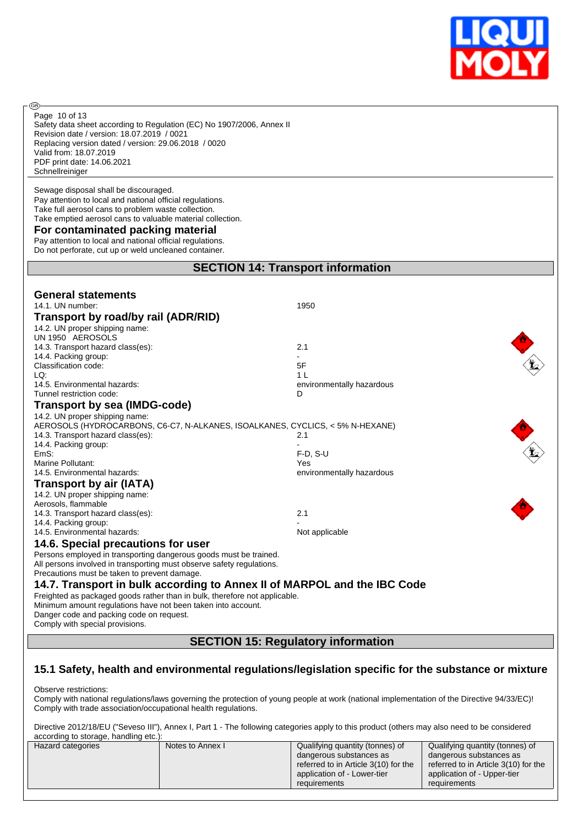

Safety data sheet according to Regulation (EC) No 1907/2006, Annex II Revision date / version: 18.07.2019 / 0021 Replacing version dated / version: 29.06.2018 / 0020 Valid from: 18.07.2019 PDF print date: 14.06.2021 **Schnellreiniger** Page 10 of 13

Sewage disposal shall be discouraged. Pay attention to local and national official regulations. Take full aerosol cans to problem waste collection. Take emptied aerosol cans to valuable material collection.

#### **For contaminated packing material**

**®** 

Pay attention to local and national official regulations. Do not perforate, cut up or weld uncleaned container.

# **SECTION 14: Transport information**

| <b>General statements</b>                                                                                                                  |                           |
|--------------------------------------------------------------------------------------------------------------------------------------------|---------------------------|
| 14.1. UN number:                                                                                                                           | 1950                      |
| Transport by road/by rail (ADR/RID)                                                                                                        |                           |
|                                                                                                                                            |                           |
| 14.2. UN proper shipping name:<br>UN 1950 AEROSOLS                                                                                         |                           |
| 14.3. Transport hazard class(es):                                                                                                          | 2.1                       |
| 14.4. Packing group:                                                                                                                       |                           |
| Classification code:                                                                                                                       | 5F                        |
| LQ:                                                                                                                                        | 1 <sup>1</sup>            |
| 14.5. Environmental hazards:                                                                                                               | environmentally hazardous |
| Tunnel restriction code:                                                                                                                   | D                         |
|                                                                                                                                            |                           |
| Transport by sea (IMDG-code)                                                                                                               |                           |
| 14.2. UN proper shipping name:                                                                                                             |                           |
| AEROSOLS (HYDROCARBONS, C6-C7, N-ALKANES, ISOALKANES, CYCLICS, < 5% N-HEXANE)                                                              |                           |
| 14.3. Transport hazard class(es):                                                                                                          | 2.1                       |
| 14.4. Packing group:                                                                                                                       |                           |
| EmS:                                                                                                                                       | $F-D, S-U$                |
| Marine Pollutant:                                                                                                                          | Yes                       |
| 14.5. Environmental hazards:                                                                                                               | environmentally hazardous |
| Transport by air (IATA)                                                                                                                    |                           |
| 14.2. UN proper shipping name:                                                                                                             |                           |
| Aerosols, flammable                                                                                                                        |                           |
| 14.3. Transport hazard class(es):                                                                                                          | 2.1                       |
| 14.4. Packing group:                                                                                                                       |                           |
| 14.5. Environmental hazards:                                                                                                               | Not applicable            |
| 14.6. Special precautions for user                                                                                                         |                           |
| Persons employed in transporting dangerous goods must be trained.                                                                          |                           |
| All persons involved in transporting must observe safety regulations.                                                                      |                           |
| Precautions must be taken to prevent damage.                                                                                               |                           |
| 14.7. Transport in bulk according to Annex II of MARPOL and the IBC Code                                                                   |                           |
|                                                                                                                                            |                           |
| Freighted as packaged goods rather than in bulk, therefore not applicable.<br>Minimum amount regulations have not been taken into account. |                           |
| Danger code and packing code on request.                                                                                                   |                           |
| Comply with special provisions.                                                                                                            |                           |
|                                                                                                                                            |                           |

### **SECTION 15: Regulatory information**

### **15.1 Safety, health and environmental regulations/legislation specific for the substance or mixture**

Observe restrictions:

Comply with national regulations/laws governing the protection of young people at work (national implementation of the Directive 94/33/EC)! Comply with trade association/occupational health regulations.

Directive 2012/18/EU ("Seveso III"), Annex I, Part 1 - The following categories apply to this product (others may also need to be considered according to storage, handling etc.):

| .                 |                  |                                      |                                      |
|-------------------|------------------|--------------------------------------|--------------------------------------|
| Hazard categories | Notes to Annex I | Qualifying quantity (tonnes) of      | Qualifying quantity (tonnes) of      |
|                   |                  | dangerous substances as              | dangerous substances as              |
|                   |                  | referred to in Article 3(10) for the | referred to in Article 3(10) for the |
|                   |                  | application of - Lower-tier          | application of - Upper-tier          |
|                   |                  | requirements                         | requirements                         |
|                   |                  |                                      |                                      |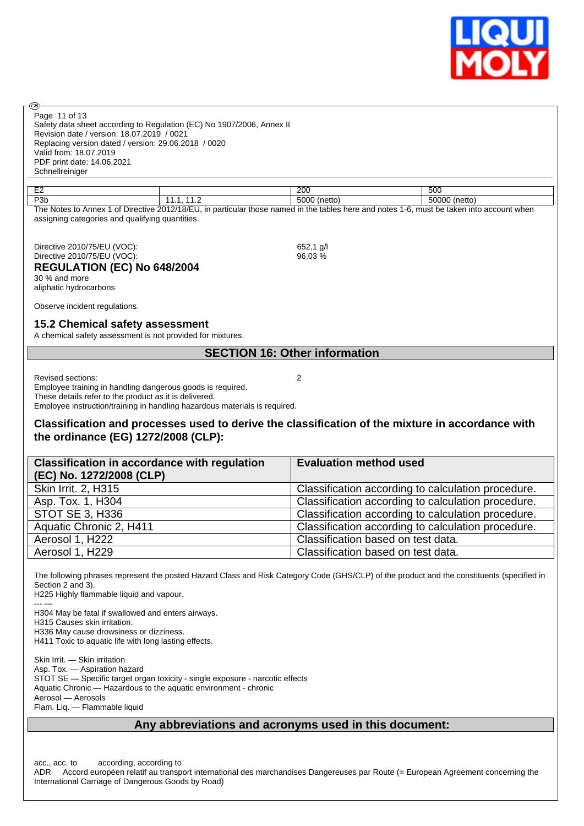

Page 11 of 13

**®** 

Safety data sheet according to Regulation (EC) No 1907/2006, Annex II Revision date / version: 18.07.2019 / 0021 Replacing version dated / version: 29.06.2018 / 0020 Valid from: 18.07.2019 PDF print date: 14.06.2021 Schnellreiniger

| $\Gamma$<br>--                                                                                                                                    |  | 200          | 500             |
|---------------------------------------------------------------------------------------------------------------------------------------------------|--|--------------|-----------------|
| P <sub>3</sub> b                                                                                                                                  |  | 5000 (netto) | 50000<br>(netto |
| of Directive 2012/18/EU, in particular those named in the tables here and notes 1-6,<br>The Notes to Annex 1<br>` must be taken into account when |  |              |                 |

assigning categories and qualifying quantities.

Directive 2010/75/EU (VOC): 652,1 g/l<br>Directive 2010/75/EU (VOC): 652,1 g/l Directive 2010/75/EU  $(VOC)$ :

### **REGULATION (EC) No 648/2004**

30 % and more aliphatic hydrocarbons

Observe incident regulations.

#### **15.2 Chemical safety assessment**

A chemical safety assessment is not provided for mixtures.

### **SECTION 16: Other information**

Revised sections: 2

Employee training in handling dangerous goods is required. These details refer to the product as it is delivered. Employee instruction/training in handling hazardous materials is required.

### **Classification and processes used to derive the classification of the mixture in accordance with the ordinance (EG) 1272/2008 (CLP):**

| <b>Classification in accordance with regulation</b><br>(EC) No. 1272/2008 (CLP) | <b>Evaluation method used</b>                      |
|---------------------------------------------------------------------------------|----------------------------------------------------|
| Skin Irrit. 2, H315                                                             | Classification according to calculation procedure. |
| Asp. Tox. 1, H304                                                               | Classification according to calculation procedure. |
| <b>STOT SE 3, H336</b>                                                          | Classification according to calculation procedure. |
| Aquatic Chronic 2, H411                                                         | Classification according to calculation procedure. |
| Aerosol 1, H222                                                                 | Classification based on test data.                 |
| Aerosol 1, H229                                                                 | Classification based on test data.                 |

The following phrases represent the posted Hazard Class and Risk Category Code (GHS/CLP) of the product and the constituents (specified in Section 2 and 3).

H225 Highly flammable liquid and vapour. --- ---

H304 May be fatal if swallowed and enters airways. H315 Causes skin irritation.

H336 May cause drowsiness or dizziness. H411 Toxic to aquatic life with long lasting effects.

Skin Irrit. — Skin irritation Asp. Tox. — Aspiration hazard STOT SE — Specific target organ toxicity - single exposure - narcotic effects Aquatic Chronic — Hazardous to the aquatic environment - chronic Aerosol — Aerosols Flam. Liq. — Flammable liquid

### **Any abbreviations and acronyms used in this document:**

acc., acc. to according, according to

ADR Accord européen relatif au transport international des marchandises Dangereuses par Route (= European Agreement concerning the International Carriage of Dangerous Goods by Road)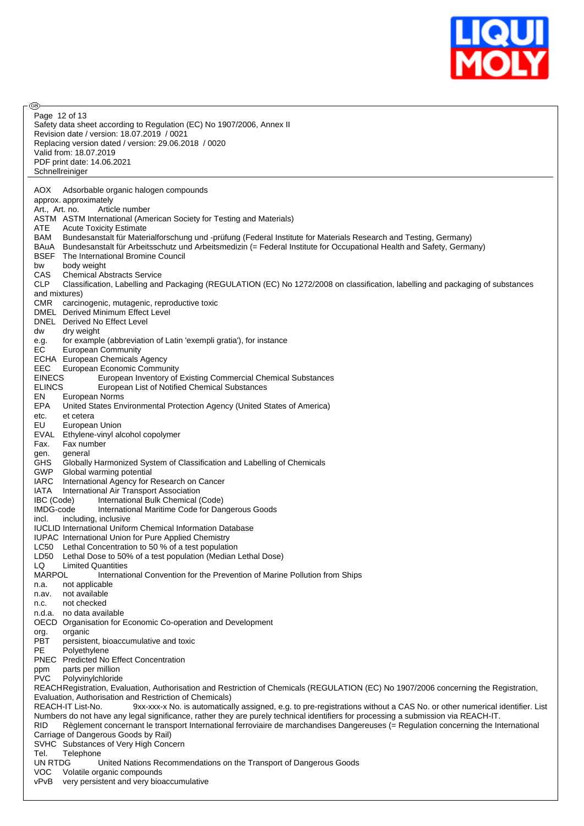

**®** Page 12 of 13Safety data sheet according to Regulation (EC) No 1907/2006, Annex II Revision date / version: 18.07.2019 / 0021 Replacing version dated / version: 29.06.2018 / 0020 Valid from: 18.07.2019 PDF print date: 14.06.2021 Schnellreiniger AOX Adsorbable organic halogen compounds approx. approximately Art., Art. no. Article number ASTM ASTM International (American Society for Testing and Materials) ATE Acute Toxicity Estimate BAM Bundesanstalt für Materialforschung und -prüfung (Federal Institute for Materials Research and Testing, Germany) BAuA Bundesanstalt für Arbeitsschutz und Arbeitsmedizin (= Federal Institute for Occupational Health and Safety, Germany) BSEF The International Bromine Council bw body weight CAS Chemical Abstracts Service<br>CLP Classification. Labelling and Classification, Labelling and Packaging (REGULATION (EC) No 1272/2008 on classification, labelling and packaging of substances and mixtures) CMR carcinogenic, mutagenic, reproductive toxic DMEL Derived Minimum Effect Level DNEL Derived No Effect Level dw dry weight e.g. for example (abbreviation of Latin 'exempli gratia'), for instance EC European Community ECHA European Chemicals Agency EEC European Economic Community EINECS European Inventory of Existing Commercial Chemical Substances ELINCS European List of Notified Chemical Substances EN European Norms EPA United States Environmental Protection Agency (United States of America) etc. et cetera EU European Union EVAL Ethylene-vinyl alcohol copolymer<br>Fax. Fax number Fax. Fax number gen. general GHS Globally Harmonized System of Classification and Labelling of Chemicals GWP Global warming potential IARC International Agency for Research on Cancer IATA International Air Transport Association IBC (Code) International Bulk Chemical (Code) IMDG-code International Maritime Code for Dangerous Goods incl. including, inclusive IUCLID International Uniform Chemical Information Database IUPAC International Union for Pure Applied Chemistry LC50 Lethal Concentration to 50 % of a test population LD50 Lethal Dose to 50% of a test population (Median Lethal Dose)<br>LO limited Quantities LQ Limited Quantities<br>MARPOL lnternati International Convention for the Prevention of Marine Pollution from Ships n.a. not applicable n.av. not available n.c. not checked n.d.a. no data available OECD Organisation for Economic Co-operation and Development org. organic PBT persistent, bioaccumulative and toxic<br>PE Polyethylene Polyethylene PNEC Predicted No Effect Concentration ppm parts per million PVC Polyvinylchloride REACHRegistration, Evaluation, Authorisation and Restriction of Chemicals (REGULATION (EC) No 1907/2006 concerning the Registration, Evaluation, Authorisation and Restriction of Chemicals) REACH-IT List-No. 9xx-xxx-x No. is automatically assigned, e.g. to pre-registrations without a CAS No. or other numerical identifier. List Numbers do not have any legal significance, rather they are purely technical identifiers for processing a submission via REACH-IT. RID Règlement concernant le transport International ferroviaire de marchandises Dangereuses (= Regulation concerning the International Carriage of Dangerous Goods by Rail) SVHC Substances of Very High Concern Tel. Telephone UN RTDG United Nations Recommendations on the Transport of Dangerous Goods VOC Volatile organic compounds vPvB very persistent and very bioaccumulative